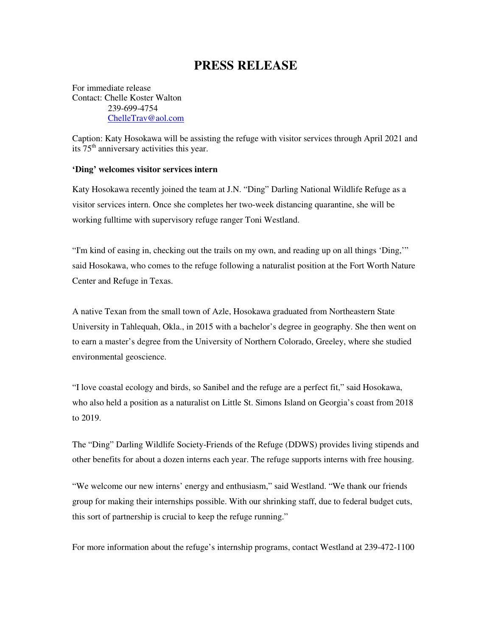## **PRESS RELEASE**

For immediate release Contact: Chelle Koster Walton 239-699-4754 ChelleTrav@aol.com

Caption: Katy Hosokawa will be assisting the refuge with visitor services through April 2021 and its  $75<sup>th</sup>$  anniversary activities this year.

## **'Ding' welcomes visitor services intern**

Katy Hosokawa recently joined the team at J.N. "Ding" Darling National Wildlife Refuge as a visitor services intern. Once she completes her two-week distancing quarantine, she will be working fulltime with supervisory refuge ranger Toni Westland.

"I'm kind of easing in, checking out the trails on my own, and reading up on all things 'Ding,'" said Hosokawa, who comes to the refuge following a naturalist position at the Fort Worth Nature Center and Refuge in Texas.

A native Texan from the small town of Azle, Hosokawa graduated from Northeastern State University in Tahlequah, Okla., in 2015 with a bachelor's degree in geography. She then went on to earn a master's degree from the University of Northern Colorado, Greeley, where she studied environmental geoscience.

"I love coastal ecology and birds, so Sanibel and the refuge are a perfect fit," said Hosokawa, who also held a position as a naturalist on Little St. Simons Island on Georgia's coast from 2018 to 2019.

The "Ding" Darling Wildlife Society-Friends of the Refuge (DDWS) provides living stipends and other benefits for about a dozen interns each year. The refuge supports interns with free housing.

"We welcome our new interns' energy and enthusiasm," said Westland. "We thank our friends group for making their internships possible. With our shrinking staff, due to federal budget cuts, this sort of partnership is crucial to keep the refuge running."

For more information about the refuge's internship programs, contact Westland at 239-472-1100